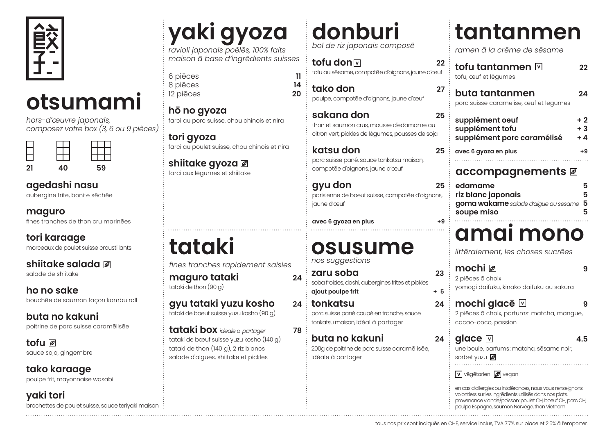

## **otsumami**

*hors-d'œuvre japonais, composez votre box (3, 6 ou 9 pièces)*

| 21 | 40 | 59 |
|----|----|----|

#### **agedashi nasu**

aubergine frite, bonite sēchēe

fines tranches de thon cru marinēes

**tori karaage** morceaux de poulet suisse croustillants

**shiitake salada** salade de shiitake

**ho no sake** bouchēe de saumon façon kombu roll

**buta no kakuni**  poitrine de porc suisse caramēlisēe

**tofu**  sauce soja, gingembre

**tako karaage** poulpe frit, mayonnaise wasabi

**yaki tori** brochettes de poulet suisse, sauce teriyaki maison

## **yaki gyoza**

*ravioli japonais poêlēs, 100% faits maison ā base d'ingrēdients suisses*

6 piēces **11** 8 piēces **14** 12 piēces

**hō no gyoza**  farci au porc suisse, chou chinois et nira

**tori gyoza**  farci au poulet suisse, chou chinois et nira

**shiitake gyoza**  farci aux lēgumes et shiitake

**tataki** *fines tranches rapidement saisies*

**maguro tataki 24** tataki de thon (90 g)

**gyu tataki yuzu kosho 24** tataki de boeuf suisse yuzu kosho (90 g)

**tataki box** *idēale* ā *partager* **78** tataki de bœuf suisse yuzu kosho (140 g) tataki de thon (140 g), 2 riz blancs salade d'algues, shiitake et pickles

## **donburi**

*bol de riz japonais composē*

**tofu don**  $\overline{v}$  **22** tofu au sēsame, compotēe d'oignons, jaune d'œuf

**tako don 27** poulpe, compotēe d'oignons, jaune d'œuf

**sakana don 25** thon et saumon crus, mousse d'edamame au citron vert, pickles de légumes, pousses de soja

**katsu don 25** porc suisse pané, sauce tonkatsu maison, compotēe d'oignons, jaune d'œuf

**gyu don 25** parisienne de boeuf suisse, compotēe d'oignons, jaune d'œuf

**avec 6 gyoza en plus +9**

### **osusume**

*nos suggestions*

- **zaru soba 23** soba froides, dashi, aubergines frites et pickles **ajout poulpe frit + 5**
- **tonkatsu 24** porc suisse pané coupé en tranche, sauce tonkatsu maison, idéal à partager

**buta no kakuni 24** 200g de poitrine de porc suisse caramēlisēe, idéale à partager

### **tantanmen**

*ramen ā la crēme de sēsame*

| tofu tantanmen ∏<br>tofu, œuf et lēgumes                         | フフ                   |
|------------------------------------------------------------------|----------------------|
| buta tantanmen<br>porc suisse caramēlisē, œuf et lēgumes         | 94                   |
| supplément oeuf<br>supplément tofu<br>supplément porc caramélisé | $+2$<br>$+3$<br>$+4$ |
| avec 6 gyoza en plus                                             | +9                   |

#### **accompagnements**

| edamame                                | 5 |
|----------------------------------------|---|
| riz blanc japonais                     | 5 |
| goma wakame salade d'algue au sēsame 5 |   |
| soupe miso                             | 5 |
|                                        |   |

### **amai mono**

*littēralement, les choses sucrēes*

**mochi 9** 2 piēces ā choix yomogi daifuku, kinako daifuku ou sakura

- **mochi glacē 9** 2 piēces ā choix, parfums: matcha, mangue, cacao-coco, passion
- vegetarien **iz** vegan **glace 4.5** une boule, parfums: matcha, sēsame noir, sorbet yuzu

en cas d'allergies ou intolērances, nous vous renseignons volontiers sur les ingrēdients utilisēs dans nos plats. provenance viande/poisson: poulet CH, boeuf CH, porc CH, poulpe Espagne, saumon Norvēge, thon Vietnam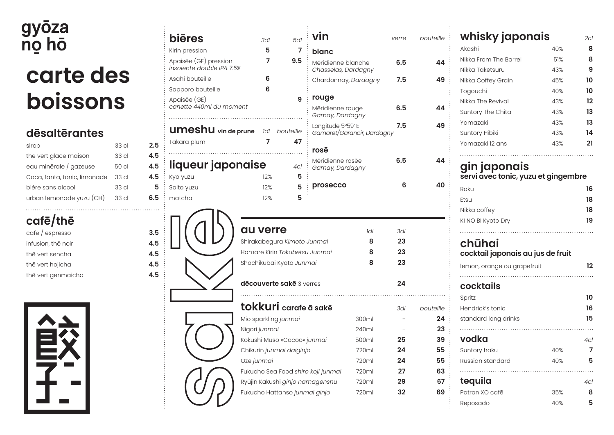## gyōza<br>nọ hō **carte des boissons**

#### **dēsaltērantes**

| sirop                        | 33 cl            | 2.5 |
|------------------------------|------------------|-----|
| the vert glace maison        | 33 cl            | 4.5 |
| eau minērale / gazeuse       | 50 cl            | 4.5 |
| Coca, fanta, tonic, limonade | 33 cl            | 4.5 |
| bière sans alcool            | 33 <sub>cl</sub> | 5   |
| urban lemonade yuzu (CH)     | 33 cl            | 6.5 |
|                              |                  |     |

#### **cafē/thē**

| cafē / espresso    | 3.5 |
|--------------------|-----|
| infusion, thē noir | 4.5 |
| thē vert sencha    | 4.5 |
| thē vert hojicha   | 4.5 |
| thē vert genmaicha | 4.5 |



| yoza<br>o hō                                                                                                   |                |                                 | <b>biēres</b><br>Kirin pression                    | 3dl<br>5                                                                                                                                                                 | 5dl<br>7                        | vin<br>blanc                                    |                                                                      | verre                                   | bouteille                                                 |
|----------------------------------------------------------------------------------------------------------------|----------------|---------------------------------|----------------------------------------------------|--------------------------------------------------------------------------------------------------------------------------------------------------------------------------|---------------------------------|-------------------------------------------------|----------------------------------------------------------------------|-----------------------------------------|-----------------------------------------------------------|
|                                                                                                                |                |                                 | Apaisēe (GE) pression<br>insolente double IPA 7.5% | 7                                                                                                                                                                        | 9.5                             | Mēridienne blanche<br>Chasselas, Dardagny       |                                                                      | 6.5                                     | 44                                                        |
| carte des                                                                                                      |                |                                 | Asahi bouteille                                    | 6                                                                                                                                                                        |                                 | Chardonnay, Dardagny                            |                                                                      | 7.5                                     | 49                                                        |
|                                                                                                                |                |                                 | Sapporo bouteille                                  | 6                                                                                                                                                                        |                                 | rouge                                           |                                                                      |                                         |                                                           |
| <b>boissons</b>                                                                                                |                |                                 | Apaisēe (GE)<br>canette 440ml du moment            |                                                                                                                                                                          | 9                               | Mēridienne rouge<br>Gamay, Dardagny             |                                                                      | 6.5                                     | 44                                                        |
| dēsaltērantes                                                                                                  |                |                                 | <b>UMEShU</b> vin de prune                         |                                                                                                                                                                          | Idl bouteille                   | Longitude 5°59' E<br>Gamaret/Garanoir, Dardagny |                                                                      | 7.5                                     | 49                                                        |
| sirop                                                                                                          | 33 cl          | 2.5                             | Takara plum                                        | 7                                                                                                                                                                        | 47                              | rosē                                            |                                                                      |                                         |                                                           |
| thē vert glacē maison<br>eau minērale / gazeuse                                                                | 33 cl<br>50 cl | 4.5<br>4.5                      | liqueur japonaise                                  |                                                                                                                                                                          | .<br>4 <sub>cl</sub>            | Mēridienne rosēe<br>Gamay, Dardagny             |                                                                      | 6.5                                     | 44                                                        |
| Coca, fanta, tonic, limonade<br>bière sans alcool                                                              | 33 cl<br>33 cl | 4.5<br>5                        | Kyo yuzu<br>Saito yuzu                             | 12%<br>12%                                                                                                                                                               | 5<br>5                          | prosecco                                        |                                                                      | 6                                       | 40                                                        |
| urban lemonade yuzu (CH)                                                                                       | 33 cl          | 6.5                             | matcha                                             | 12%                                                                                                                                                                      | 5                               |                                                 |                                                                      |                                         |                                                           |
| cafe/the<br>cafē / espresso<br>infusion, the noir<br>thē vert sencha<br>thē vert hojicha<br>thē vert genmaicha |                | 3.5<br>4.5<br>4.5<br>4.5<br>4.5 |                                                    | au verre<br>Shirakabegura Kimoto Junmai<br>Homare Kirin Tokubetsu Junmai<br>Shochikubai Kyoto Junmai<br>dēcouverte sakē 3 verres                                         |                                 |                                                 | Idl<br>8<br>8<br>8                                                   | 3dl<br>23<br>23<br>23<br>24             |                                                           |
|                                                                                                                |                |                                 |                                                    | tokkuri carafe ā sakē<br>Mio sparkling junmai<br>Nigori junmai<br>Kokushi Muso «Cocoo» junmai<br>Chikurin junmai daiginjo<br>Oze junmai<br>Fukucho Hattanso junmai ginjo | Ryûjin Kakushi ginjo namagenshu | Fukucho Sea Food shiro koji junmai              | 300ml<br>240ml<br>500ml<br>720ml<br>720ml<br>720ml<br>720ml<br>720ml | 3dl<br>25<br>24<br>24<br>27<br>29<br>32 | bouteille<br>24<br>23<br>39<br>55<br>55<br>63<br>67<br>69 |

| whisky japonais                                                                           |     | 2cl                  |
|-------------------------------------------------------------------------------------------|-----|----------------------|
| Akashi                                                                                    | 40% | 8                    |
| Nikka From The Barrel                                                                     | 51% | 8                    |
| Nikka Taketsuru                                                                           | 43% | 9                    |
| Nikka Coffey Grain                                                                        | 45% | 10                   |
| Togouchi                                                                                  | 40% | 10                   |
| Nikka The Revival                                                                         | 43% | 12                   |
| Suntory The Chita                                                                         | 43% | 13                   |
| Yamazaki                                                                                  | 43% | 13                   |
| Suntory Hibiki                                                                            | 43% | 14                   |
| Yamazaki 12 ans                                                                           | 43% | 21                   |
|                                                                                           |     |                      |
| servi avec tonic, yuzu et gingembre<br>Roku<br>Etsu<br>Nikka coffey<br>KI NO BI Kyoto Dry |     | 16<br>18<br>18<br>19 |
| chūhai<br>cocktail japonais au jus de fruit                                               |     |                      |
| lemon, orange ou grapefruit                                                               |     | 12                   |
|                                                                                           |     |                      |
| cocktails                                                                                 |     |                      |
| Spritz                                                                                    |     | 10                   |
| Hendrick's tonic                                                                          |     | 16                   |
| standard long drinks                                                                      |     | 15                   |
|                                                                                           |     |                      |
| vodka                                                                                     |     | 4cl                  |
| Suntory haku                                                                              | 40% | 7                    |

Russian standard 40% **5**

**tequila** *4cl* Patron XO cafē 35% **8** Reposado 40% **5**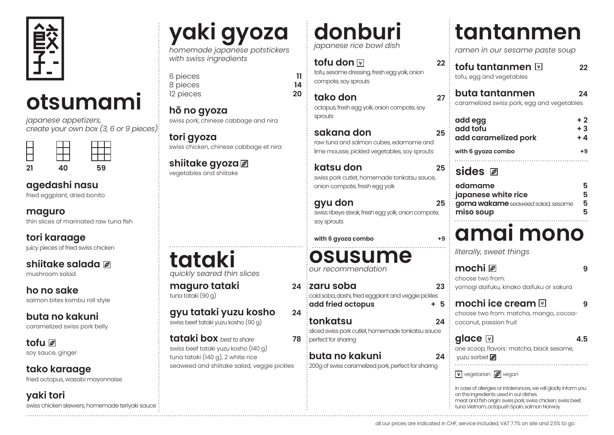

## **otsumami**

*japanese appetizers, create your own box (3, 6 or 9 pieces)*

| 21 | 40 | 59 |
|----|----|----|

#### **agedashi nasu**

fried eggplant, dried bonito

**maguro**

thin slices of marinated raw tuna fish

**tori karaage** juicy pieces of fried swiss chicken

#### **shiitake salada**

mushroom salad

**ho no sake** salmon bites kombu roll style

**buta no kakuni** 

caramelized swiss pork belly

**tofu**  soy sauce, ginger

**tako karaage** fried octopus, wasabi mayonnaise

**yaki tori** swiss chicken skewers, homemade teriyaki sauce

## **yaki gyoza**

*homemade japanese potstickers with swiss ingredients*

6 pieces **11** 8 pieces **14** 12 pieces

**hō no gyoza**  swiss pork, chinese cabbage and nira

**tori gyoza**  swiss chicken, chinese cabbage et nira

#### **shiitake gyoza**  vegetables and shiitake

**tataki** *quickly seared thin slices* 

**maguro tataki 24** tuna tataki (90 g)

**gyu tataki yuzu kosho 24** swiss beef tataki yuzu kosho (90 g)

**tataki box** *best to share* **78** swiss beef tataki yuzu kosho (140 g) tuna tataki (140 g), 2 white rice seaweed and shiitake salad, veggie pickles **donburi** *japanese rice bowl dish*

#### **tofu don 22** tofu, sesame dressing, fresh egg yolk, onion compote, soy sprouts

**tako don 27** octopus, fresh egg yolk, onion compote, soy sprouts

**sakana don 25** raw tuna and salmon cubes, edamame and lime mousse, pickled vegetables, soy sprouts

**katsu don 25** swiss pork cutlet, homemade tonkatsu sauce, onion compote, fresh egg yolk

**gyu don 25** swiss ribeye steak, fresh egg yolk, onion compote, soy sprouts

with 6 qyoza combo

**osusume** *our recommendation*

**zaru soba 23** cold soba, dashi, fried eggplant and veggie pickles **add fried octopus + 5**

**tonkatsu 24** sliced swiss pork cutlet, homemade tonkatsu sauce **78** : perfect for sharing

**buta no kakuni 24** 200g of swiss caramelized pork, perfect for sharing

## **tantanmen**

*ramen in our sesame paste soup*

**tofu tantanmen 22** tofu, egg and vegetables

**buta tantanmen 24** caramelized swiss pork, egg and vegetables

| add egg<br>add tofu<br>add caramelized pork | $+2$<br>$+3$<br>$+4$ |
|---------------------------------------------|----------------------|
| with 6 gyoza combo                          | +9                   |
|                                             |                      |

**sides**

| edamame                           |    |
|-----------------------------------|----|
| japanese white rice               | 5. |
| goma wakame seaweed salad, sesame | 5. |
| miso soup                         | 5. |

### **amai mono**

*literally, sweet things*

| choose two from:                                                                                         |     |
|----------------------------------------------------------------------------------------------------------|-----|
| yomogi daifuku, kinako daifuku or sakura                                                                 |     |
| mochi ice cream $\boxdot$<br>choose two from: matcha, mango, cocoa-<br>coconut, passion fruit            |     |
| glace ⊡<br>one scoop, flavors: matcha, black sesame,<br>yuzu sorbet                                      | 4.5 |
| $\boxed{\mathbf{v}}$ vegetarian $\boxed{\mathscr{D}}$ vegan                                              |     |
| in case of allergies or intolerances, we will gladly inform you<br>on the ingredients used in our dishes |     |

on the ingredients used in our dishes. meat and fish origin: swiss pork, swiss chicken, swiss beef,

tuna Vietnam, octopush Spain, salmon Norway